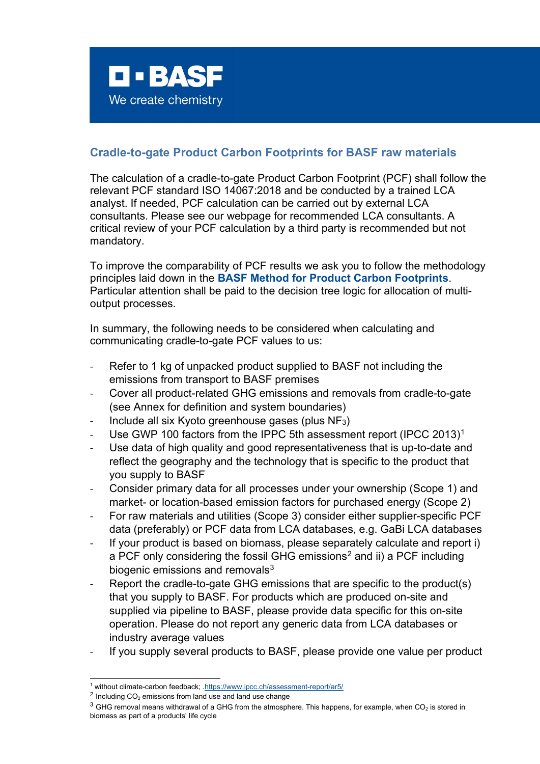

## **Cradle-to-gate Product Carbon Footprints for BASF raw materials**

The calculation of a cradle-to-gate Product Carbon Footprint (PCF) shall follow the relevant PCF standard ISO 14067:2018 and be conducted by a trained LCA analyst. If needed, PCF calculation can be carried out by external LCA consultants. Please see our webpage for recommended LCA consultants. A critical review of your PCF calculation by a third party is recommended but not mandatory.

To improve the comparability of PCF results we ask you to follow the methodology principles laid down in the **BASF Method for Product Carbon Footprints**. Particular attention shall be paid to the decision tree logic for allocation of multioutput processes.

In summary, the following needs to be considered when calculating and communicating cradle-to-gate PCF values to us:

- Refer to 1 kg of unpacked product supplied to BASF not including the emissions from transport to BASF premises
- Cover all product-related GHG emissions and removals from cradle-to-gate (see Annex for definition and system boundaries)
- Include all six Kyoto greenhouse gases (plus NF<sub>3</sub>)
- Use GWP [1](#page-0-0)00 factors from the IPPC 5th assessment report (IPCC 2013)<sup>1</sup>
- Use data of high quality and good representativeness that is up-to-date and reflect the geography and the technology that is specific to the product that you supply to BASF
- Consider primary data for all processes under your ownership (Scope 1) and market- or location-based emission factors for purchased energy (Scope 2)
- For raw materials and utilities (Scope 3) consider either supplier-specific PCF data (preferably) or PCF data from LCA databases, e.g. GaBi LCA databases
- If your product is based on biomass, please separately calculate and report i) a PCF only considering the fossil GHG emissions<sup>[2](#page-0-1)</sup> and ii) a PCF including biogenic emissions and removals $3$
- Report the cradle-to-gate GHG emissions that are specific to the product(s) that you supply to BASF. For products which are produced on-site and supplied via pipeline to BASF, please provide data specific for this on-site operation. Please do not report any generic data from LCA databases or industry average values
- If you supply several products to BASF, please provide one value per product

<span id="page-0-0"></span><sup>1</sup> without climate-carbon feedback; [.https://www.ipcc.ch/assessment-report/ar5/](https://www.ipcc.ch/assessment-report/ar5/)

<span id="page-0-1"></span> $2$  Including CO<sub>2</sub> emissions from land use and land use change

<span id="page-0-2"></span> $3$  GHG removal means withdrawal of a GHG from the atmosphere. This happens, for example, when CO<sub>2</sub> is stored in biomass as part of a products' life cycle